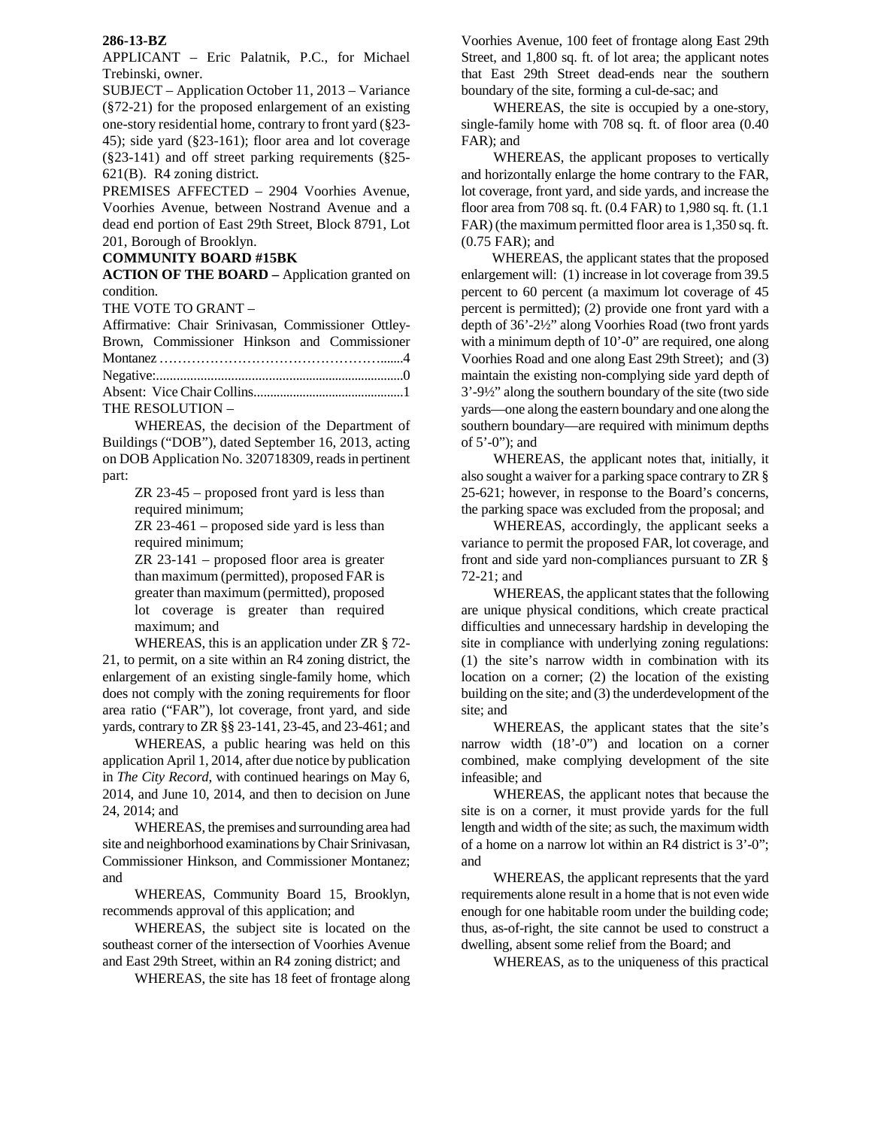## **286-13-BZ**

APPLICANT – Eric Palatnik, P.C., for Michael Trebinski, owner.

SUBJECT – Application October 11, 2013 – Variance (§72-21) for the proposed enlargement of an existing one-story residential home, contrary to front yard (§23- 45); side yard (§23-161); floor area and lot coverage (§23-141) and off street parking requirements (§25- 621(B). R4 zoning district.

PREMISES AFFECTED – 2904 Voorhies Avenue, Voorhies Avenue, between Nostrand Avenue and a dead end portion of East 29th Street, Block 8791, Lot 201, Borough of Brooklyn.

## **COMMUNITY BOARD #15BK**

**ACTION OF THE BOARD –** Application granted on condition.

THE VOTE TO GRANT –

| Affirmative: Chair Srinivasan, Commissioner Ottley- |
|-----------------------------------------------------|
| Brown, Commissioner Hinkson and Commissioner        |
|                                                     |
|                                                     |
|                                                     |
| THE RESOLUTION -                                    |

 WHEREAS, the decision of the Department of Buildings ("DOB"), dated September 16, 2013, acting on DOB Application No. 320718309, reads in pertinent part:

> ZR 23-45 – proposed front yard is less than required minimum;

> ZR 23-461 – proposed side yard is less than required minimum;

> ZR 23-141 – proposed floor area is greater than maximum (permitted), proposed FAR is greater than maximum (permitted), proposed lot coverage is greater than required maximum; and

 WHEREAS, this is an application under ZR § 72- 21, to permit, on a site within an R4 zoning district, the enlargement of an existing single-family home, which does not comply with the zoning requirements for floor area ratio ("FAR"), lot coverage, front yard, and side yards, contrary to ZR §§ 23-141, 23-45, and 23-461; and

 WHEREAS, a public hearing was held on this application April 1, 2014, after due notice by publication in *The City Record*, with continued hearings on May 6, 2014, and June 10, 2014, and then to decision on June 24, 2014; and

 WHEREAS, the premises and surrounding area had site and neighborhood examinations by Chair Srinivasan, Commissioner Hinkson, and Commissioner Montanez; and

 WHEREAS, Community Board 15, Brooklyn, recommends approval of this application; and

 WHEREAS, the subject site is located on the southeast corner of the intersection of Voorhies Avenue and East 29th Street, within an R4 zoning district; and

WHEREAS, the site has 18 feet of frontage along

Voorhies Avenue, 100 feet of frontage along East 29th Street, and 1,800 sq. ft. of lot area; the applicant notes that East 29th Street dead-ends near the southern boundary of the site, forming a cul-de-sac; and

 WHEREAS, the site is occupied by a one-story, single-family home with 708 sq. ft. of floor area (0.40 FAR); and

 WHEREAS, the applicant proposes to vertically and horizontally enlarge the home contrary to the FAR, lot coverage, front yard, and side yards, and increase the floor area from 708 sq. ft. (0.4 FAR) to 1,980 sq. ft. (1.1 FAR) (the maximum permitted floor area is 1,350 sq. ft. (0.75 FAR); and

WHEREAS, the applicant states that the proposed enlargement will: (1) increase in lot coverage from 39.5 percent to 60 percent (a maximum lot coverage of 45 percent is permitted); (2) provide one front yard with a depth of 36'-2½" along Voorhies Road (two front yards with a minimum depth of 10'-0" are required, one along Voorhies Road and one along East 29th Street); and (3) maintain the existing non-complying side yard depth of 3'-9½" along the southern boundary of the site (two side yards—one along the eastern boundary and one along the southern boundary—are required with minimum depths of 5'-0"); and

WHEREAS, the applicant notes that, initially, it also sought a waiver for a parking space contrary to ZR § 25-621; however, in response to the Board's concerns, the parking space was excluded from the proposal; and

WHEREAS, accordingly, the applicant seeks a variance to permit the proposed FAR, lot coverage, and front and side yard non-compliances pursuant to ZR § 72-21; and

WHEREAS, the applicant states that the following are unique physical conditions, which create practical difficulties and unnecessary hardship in developing the site in compliance with underlying zoning regulations: (1) the site's narrow width in combination with its location on a corner; (2) the location of the existing building on the site; and (3) the underdevelopment of the site; and

 WHEREAS, the applicant states that the site's narrow width (18'-0") and location on a corner combined, make complying development of the site infeasible; and

 WHEREAS, the applicant notes that because the site is on a corner, it must provide yards for the full length and width of the site; as such, the maximum width of a home on a narrow lot within an R4 district is 3'-0"; and

 WHEREAS, the applicant represents that the yard requirements alone result in a home that is not even wide enough for one habitable room under the building code; thus, as-of-right, the site cannot be used to construct a dwelling, absent some relief from the Board; and

WHEREAS, as to the uniqueness of this practical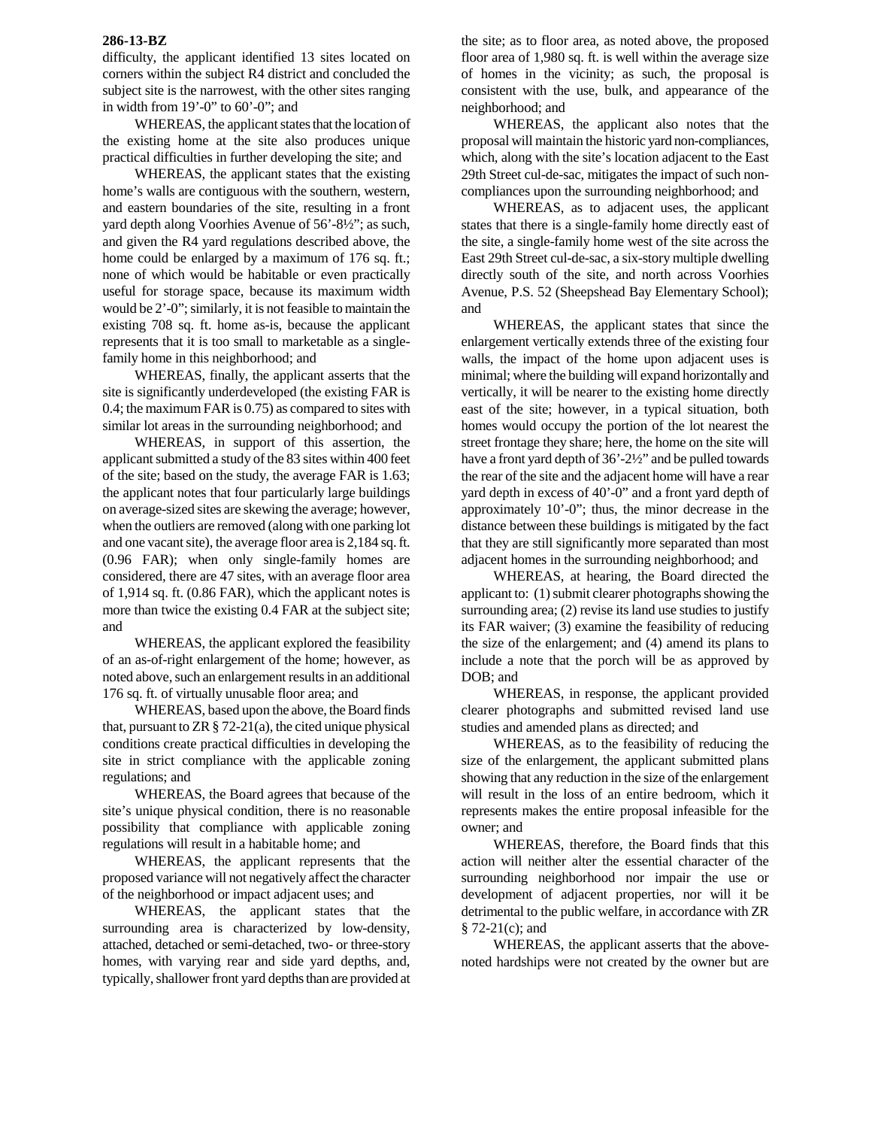## **286-13-BZ**

difficulty, the applicant identified 13 sites located on corners within the subject R4 district and concluded the subject site is the narrowest, with the other sites ranging in width from 19'-0" to 60'-0"; and

 WHEREAS, the applicant states that the location of the existing home at the site also produces unique practical difficulties in further developing the site; and

 WHEREAS, the applicant states that the existing home's walls are contiguous with the southern, western, and eastern boundaries of the site, resulting in a front yard depth along Voorhies Avenue of 56'-8½"; as such, and given the R4 yard regulations described above, the home could be enlarged by a maximum of 176 sq. ft.; none of which would be habitable or even practically useful for storage space, because its maximum width would be 2'-0"; similarly, it is not feasible to maintain the existing 708 sq. ft. home as-is, because the applicant represents that it is too small to marketable as a singlefamily home in this neighborhood; and

 WHEREAS, finally, the applicant asserts that the site is significantly underdeveloped (the existing FAR is 0.4; the maximum FAR is 0.75) as compared to sites with similar lot areas in the surrounding neighborhood; and

 WHEREAS, in support of this assertion, the applicant submitted a study of the 83 sites within 400 feet of the site; based on the study, the average FAR is 1.63; the applicant notes that four particularly large buildings on average-sized sites are skewing the average; however, when the outliers are removed (along with one parking lot and one vacant site), the average floor area is 2,184 sq. ft. (0.96 FAR); when only single-family homes are considered, there are 47 sites, with an average floor area of 1,914 sq. ft. (0.86 FAR), which the applicant notes is more than twice the existing 0.4 FAR at the subject site; and

 WHEREAS, the applicant explored the feasibility of an as-of-right enlargement of the home; however, as noted above, such an enlargement results in an additional 176 sq. ft. of virtually unusable floor area; and

 WHEREAS, based upon the above, the Board finds that, pursuant to ZR  $\S$  72-21(a), the cited unique physical conditions create practical difficulties in developing the site in strict compliance with the applicable zoning regulations; and

 WHEREAS, the Board agrees that because of the site's unique physical condition, there is no reasonable possibility that compliance with applicable zoning regulations will result in a habitable home; and

 WHEREAS, the applicant represents that the proposed variance will not negatively affect the character of the neighborhood or impact adjacent uses; and

 WHEREAS, the applicant states that the surrounding area is characterized by low-density, attached, detached or semi-detached, two- or three-story homes, with varying rear and side yard depths, and, typically, shallower front yard depths than are provided at

the site; as to floor area, as noted above, the proposed floor area of 1,980 sq. ft. is well within the average size of homes in the vicinity; as such, the proposal is consistent with the use, bulk, and appearance of the neighborhood; and

 WHEREAS, the applicant also notes that the proposal will maintain the historic yard non-compliances, which, along with the site's location adjacent to the East 29th Street cul-de-sac, mitigates the impact of such noncompliances upon the surrounding neighborhood; and

 WHEREAS, as to adjacent uses, the applicant states that there is a single-family home directly east of the site, a single-family home west of the site across the East 29th Street cul-de-sac, a six-story multiple dwelling directly south of the site, and north across Voorhies Avenue, P.S. 52 (Sheepshead Bay Elementary School); and

 WHEREAS, the applicant states that since the enlargement vertically extends three of the existing four walls, the impact of the home upon adjacent uses is minimal; where the building will expand horizontally and vertically, it will be nearer to the existing home directly east of the site; however, in a typical situation, both homes would occupy the portion of the lot nearest the street frontage they share; here, the home on the site will have a front yard depth of 36'-2½" and be pulled towards the rear of the site and the adjacent home will have a rear yard depth in excess of 40'-0" and a front yard depth of approximately 10'-0"; thus, the minor decrease in the distance between these buildings is mitigated by the fact that they are still significantly more separated than most adjacent homes in the surrounding neighborhood; and

 WHEREAS, at hearing, the Board directed the applicant to: (1) submit clearer photographs showing the surrounding area; (2) revise its land use studies to justify its FAR waiver; (3) examine the feasibility of reducing the size of the enlargement; and (4) amend its plans to include a note that the porch will be as approved by DOB; and

 WHEREAS, in response, the applicant provided clearer photographs and submitted revised land use studies and amended plans as directed; and

 WHEREAS, as to the feasibility of reducing the size of the enlargement, the applicant submitted plans showing that any reduction in the size of the enlargement will result in the loss of an entire bedroom, which it represents makes the entire proposal infeasible for the owner; and

 WHEREAS, therefore, the Board finds that this action will neither alter the essential character of the surrounding neighborhood nor impair the use or development of adjacent properties, nor will it be detrimental to the public welfare, in accordance with ZR § 72-21(c); and

 WHEREAS, the applicant asserts that the abovenoted hardships were not created by the owner but are